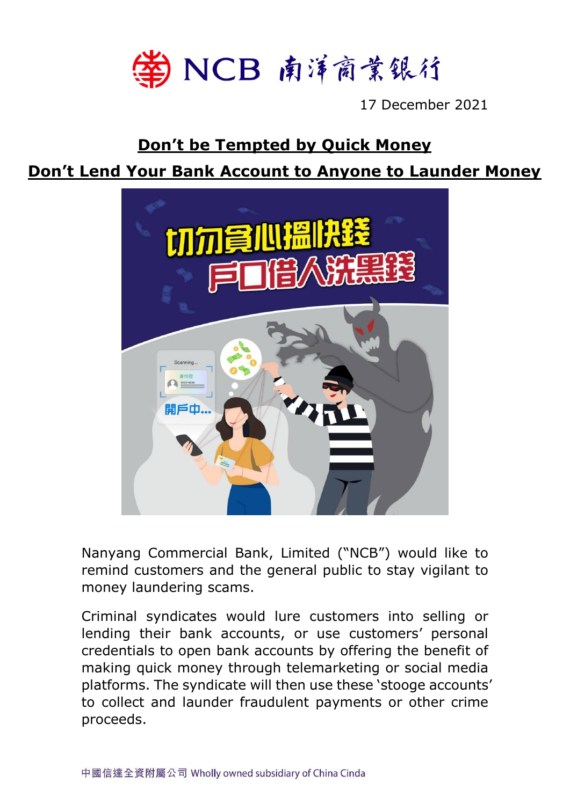

17 December 2021

#### **Don't be Tempted by Quick Money**

#### **Don't Lend Your Bank Account to Anyone to Launder Money**



Nanyang Commercial Bank, Limited ("NCB") would like to remind customers and the general public to stay vigilant to money laundering scams.

Criminal syndicates would lure customers into selling or lending their bank accounts, or use customers' personal credentials to open bank accounts by offering the benefit of making quick money through telemarketing or social media platforms. The syndicate will then use these 'stooge accounts' to collect and launder fraudulent payments or other crime proceeds.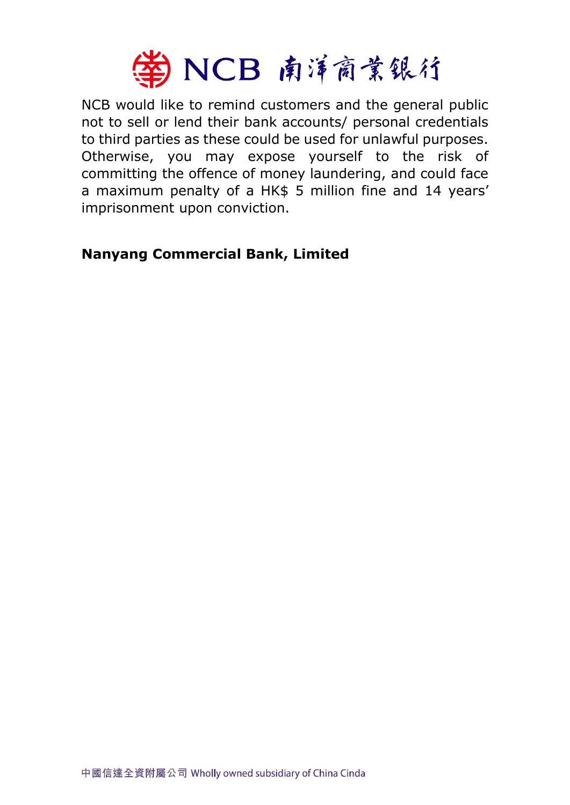

NCB would like to remind customers and the general public not to sell or lend their bank accounts/ personal credentials to third parties as these could be used for unlawful purposes. Otherwise, you may expose yourself to the risk of committing the offence of money laundering, and could face a maximum penalty of a HK\$ 5 million fine and 14 years' imprisonment upon conviction.

#### **Nanyang Commercial Bank, Limited**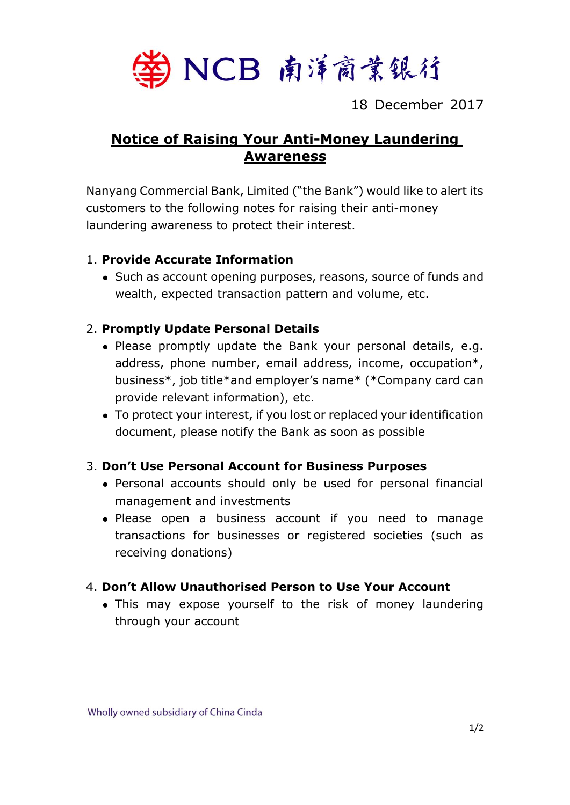

18 December 2017

#### **Notice of Raising Your Anti-Money Laundering Awareness**

Nanyang Commercial Bank, Limited ("the Bank") would like to alert its customers to the following notes for raising their anti-money laundering awareness to protect their interest.

#### 1. **Provide Accurate Information**

• Such as account opening purposes, reasons, source of funds and wealth, expected transaction pattern and volume, etc.

#### 2. **Promptly Update Personal Details**

- Please promptly update the Bank your personal details, e.g. address, phone number, email address, income, occupation\*, business\*, job title\*and employer's name\* (\*Company card can provide relevant information), etc.
- To protect your interest, if you lost or replaced your identification document, please notify the Bank as soon as possible

#### 3. **Don't Use Personal Account for Business Purposes**

- Personal accounts should only be used for personal financial management and investments
- Please open a business account if you need to manage transactions for businesses or registered societies (such as receiving donations)

#### 4. **Don't Allow Unauthorised Person to Use Your Account**

 This may expose yourself to the risk of money laundering through your account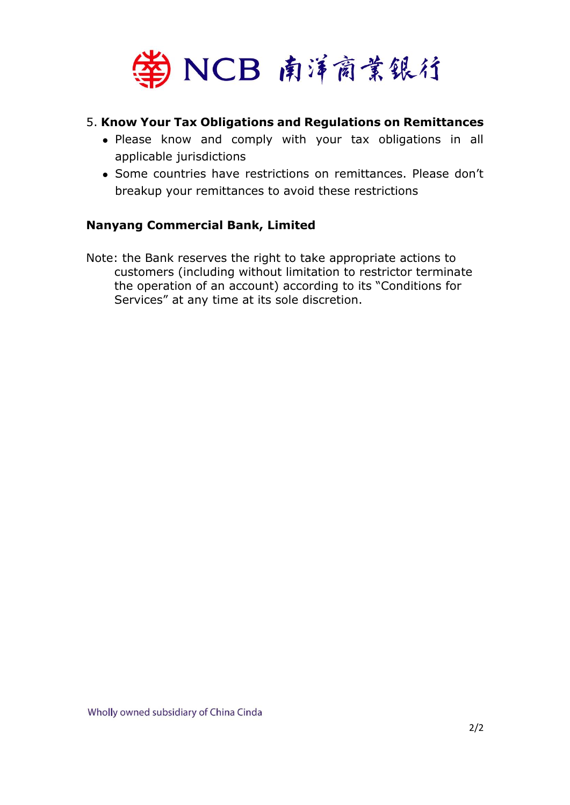

#### 5. **Know Your Tax Obligations and Regulations on Remittances**

- Please know and comply with your tax obligations in all applicable jurisdictions
- Some countries have restrictions on remittances. Please don't breakup your remittances to avoid these restrictions

#### **Nanyang Commercial Bank, Limited**

Note: the Bank reserves the right to take appropriate actions to customers (including without limitation to restrictor terminate the operation of an account) according to its "Conditions for Services" at any time at its sole discretion.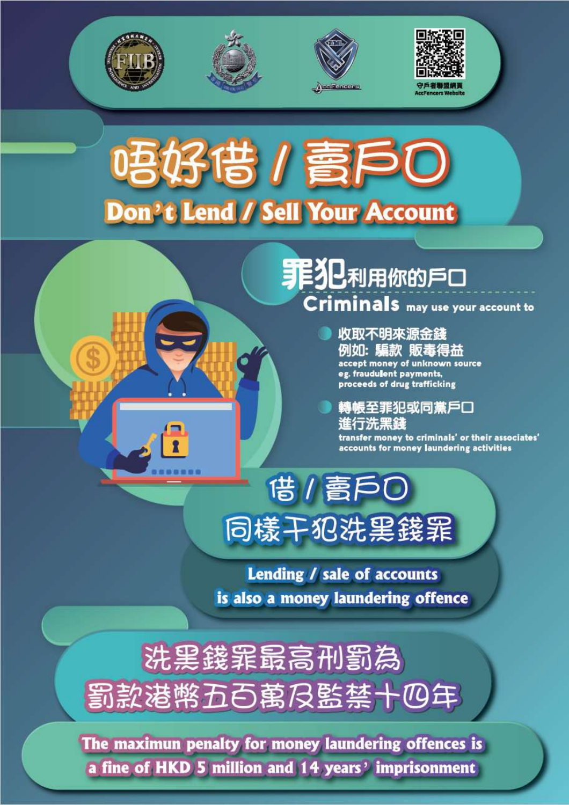







# Don't Lend / Sell Your Account

### 罪犯利用你的戶口 Criminals may use your account to

收取不明來源金錢 例如: 騙款 販毒得益 accept money of unknown source eg. fraudulent payments,<br>proceeds of drug trafficking

轉帳至罪犯或同黨戶□ 行洗黑鉢

transfer money to criminals' or their associates' accounts for money laundering activities

同樣干犯洗黑錢罪

借/賣戶C

Lending / sale of accounts is also a money laundering offence

# 洗黑錢罪最高刑罰為 罰款港幣五百萬及監禁十四年

The maximun penalty for money laundering offences is a fine of HKD 5 million and 14 years' imprisonment